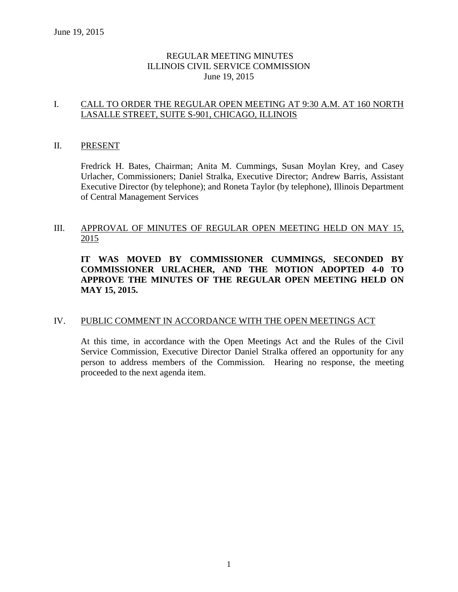# REGULAR MEETING MINUTES ILLINOIS CIVIL SERVICE COMMISSION June 19, 2015

# I. CALL TO ORDER THE REGULAR OPEN MEETING AT 9:30 A.M. AT 160 NORTH LASALLE STREET, SUITE S-901, CHICAGO, ILLINOIS

### II. PRESENT

Fredrick H. Bates, Chairman; Anita M. Cummings, Susan Moylan Krey, and Casey Urlacher, Commissioners; Daniel Stralka, Executive Director; Andrew Barris, Assistant Executive Director (by telephone); and Roneta Taylor (by telephone), Illinois Department of Central Management Services

# III. APPROVAL OF MINUTES OF REGULAR OPEN MEETING HELD ON MAY 15, 2015

# **IT WAS MOVED BY COMMISSIONER CUMMINGS, SECONDED BY COMMISSIONER URLACHER, AND THE MOTION ADOPTED 4-0 TO APPROVE THE MINUTES OF THE REGULAR OPEN MEETING HELD ON MAY 15, 2015.**

# IV. PUBLIC COMMENT IN ACCORDANCE WITH THE OPEN MEETINGS ACT

At this time, in accordance with the Open Meetings Act and the Rules of the Civil Service Commission, Executive Director Daniel Stralka offered an opportunity for any person to address members of the Commission. Hearing no response, the meeting proceeded to the next agenda item.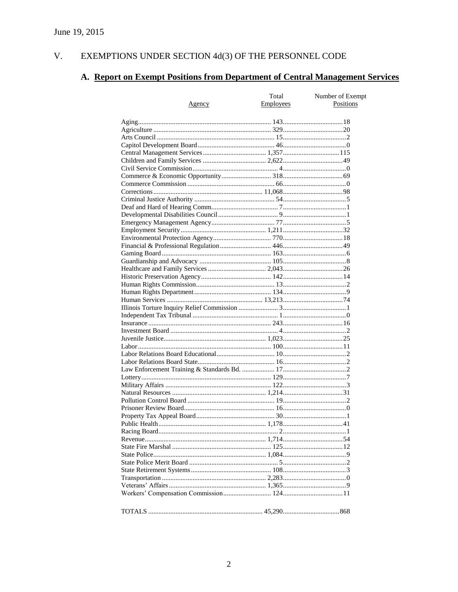#### $V<sub>r</sub>$ EXEMPTIONS UNDER SECTION  $4d(3)$  OF THE PERSONNEL CODE

# A. Report on Exempt Positions from Department of Central Management Services

| <u>Agency</u> | Total<br><b>Employees</b> | Number of Exempt<br>Positions |
|---------------|---------------------------|-------------------------------|
|               |                           |                               |
|               |                           |                               |
|               |                           |                               |
|               |                           |                               |
|               |                           |                               |
|               |                           |                               |
|               |                           |                               |
|               |                           |                               |
|               |                           |                               |
|               |                           |                               |
|               |                           |                               |
|               |                           |                               |
|               |                           |                               |
|               |                           |                               |
|               |                           |                               |
|               |                           |                               |
|               |                           |                               |
|               |                           |                               |
|               |                           |                               |
|               |                           |                               |
|               |                           |                               |
|               |                           |                               |
|               |                           |                               |
|               |                           |                               |
|               |                           |                               |
|               |                           |                               |
|               |                           |                               |
|               |                           |                               |
|               |                           |                               |
|               |                           |                               |
|               |                           |                               |
|               |                           |                               |
|               |                           |                               |
|               |                           |                               |
|               |                           |                               |
|               |                           |                               |
|               |                           |                               |
|               |                           |                               |
|               |                           |                               |
|               |                           |                               |
|               |                           |                               |
|               |                           |                               |
|               |                           |                               |
|               |                           |                               |
|               |                           |                               |
|               |                           |                               |
|               |                           |                               |
|               |                           |                               |
|               |                           |                               |
|               |                           |                               |
|               |                           |                               |
|               |                           |                               |
|               |                           |                               |
|               |                           |                               |
|               |                           |                               |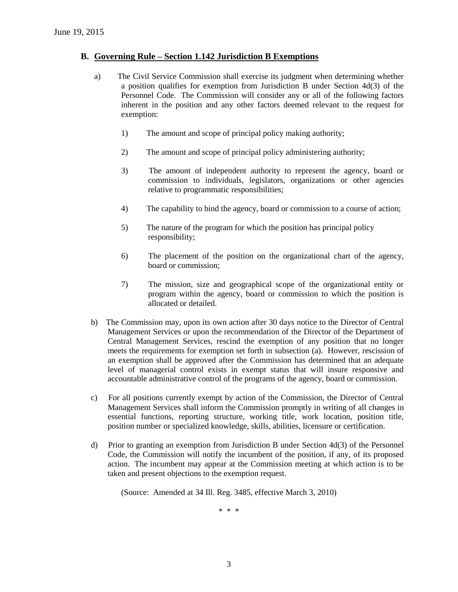#### **B. Governing Rule – Section 1.142 Jurisdiction B Exemptions**

- a) The Civil Service Commission shall exercise its judgment when determining whether a position qualifies for exemption from Jurisdiction B under Section 4d(3) of the Personnel Code. The Commission will consider any or all of the following factors inherent in the position and any other factors deemed relevant to the request for exemption:
	- 1) The amount and scope of principal policy making authority;
	- 2) The amount and scope of principal policy administering authority;
	- 3) The amount of independent authority to represent the agency, board or commission to individuals, legislators, organizations or other agencies relative to programmatic responsibilities;
	- 4) The capability to bind the agency, board or commission to a course of action;
	- 5) The nature of the program for which the position has principal policy responsibility;
	- 6) The placement of the position on the organizational chart of the agency, board or commission;
	- 7) The mission, size and geographical scope of the organizational entity or program within the agency, board or commission to which the position is allocated or detailed.
- b) The Commission may, upon its own action after 30 days notice to the Director of Central Management Services or upon the recommendation of the Director of the Department of Central Management Services, rescind the exemption of any position that no longer meets the requirements for exemption set forth in subsection (a). However, rescission of an exemption shall be approved after the Commission has determined that an adequate level of managerial control exists in exempt status that will insure responsive and accountable administrative control of the programs of the agency, board or commission.
- c) For all positions currently exempt by action of the Commission, the Director of Central Management Services shall inform the Commission promptly in writing of all changes in essential functions, reporting structure, working title, work location, position title, position number or specialized knowledge, skills, abilities, licensure or certification.
- d) Prior to granting an exemption from Jurisdiction B under Section 4d(3) of the Personnel Code, the Commission will notify the incumbent of the position, if any, of its proposed action. The incumbent may appear at the Commission meeting at which action is to be taken and present objections to the exemption request.

(Source: Amended at 34 Ill. Reg. 3485, effective March 3, 2010)

\* \* \*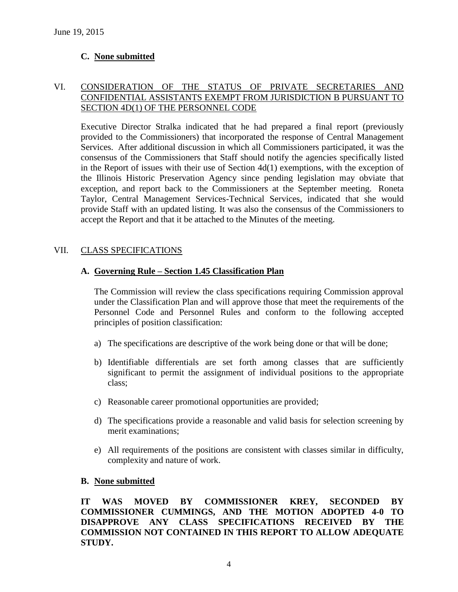# **C. None submitted**

### VI. CONSIDERATION OF THE STATUS OF PRIVATE SECRETARIES AND CONFIDENTIAL ASSISTANTS EXEMPT FROM JURISDICTION B PURSUANT TO SECTION 4D(1) OF THE PERSONNEL CODE

Executive Director Stralka indicated that he had prepared a final report (previously provided to the Commissioners) that incorporated the response of Central Management Services. After additional discussion in which all Commissioners participated, it was the consensus of the Commissioners that Staff should notify the agencies specifically listed in the Report of issues with their use of Section 4d(1) exemptions, with the exception of the Illinois Historic Preservation Agency since pending legislation may obviate that exception, and report back to the Commissioners at the September meeting. Roneta Taylor, Central Management Services-Technical Services, indicated that she would provide Staff with an updated listing. It was also the consensus of the Commissioners to accept the Report and that it be attached to the Minutes of the meeting.

### VII. CLASS SPECIFICATIONS

### **A. Governing Rule – Section 1.45 Classification Plan**

The Commission will review the class specifications requiring Commission approval under the Classification Plan and will approve those that meet the requirements of the Personnel Code and Personnel Rules and conform to the following accepted principles of position classification:

- a) The specifications are descriptive of the work being done or that will be done;
- b) Identifiable differentials are set forth among classes that are sufficiently significant to permit the assignment of individual positions to the appropriate class;
- c) Reasonable career promotional opportunities are provided;
- d) The specifications provide a reasonable and valid basis for selection screening by merit examinations;
- e) All requirements of the positions are consistent with classes similar in difficulty, complexity and nature of work.

### **B. None submitted**

**IT WAS MOVED BY COMMISSIONER KREY, SECONDED BY COMMISSIONER CUMMINGS, AND THE MOTION ADOPTED 4-0 TO DISAPPROVE ANY CLASS SPECIFICATIONS RECEIVED BY THE COMMISSION NOT CONTAINED IN THIS REPORT TO ALLOW ADEQUATE STUDY.**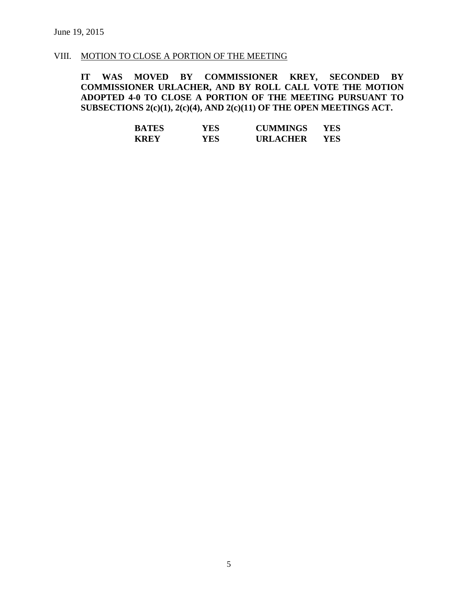#### VIII. MOTION TO CLOSE A PORTION OF THE MEETING

**IT WAS MOVED BY COMMISSIONER KREY, SECONDED BY COMMISSIONER URLACHER, AND BY ROLL CALL VOTE THE MOTION ADOPTED 4-0 TO CLOSE A PORTION OF THE MEETING PURSUANT TO SUBSECTIONS 2(c)(1), 2(c)(4), AND 2(c)(11) OF THE OPEN MEETINGS ACT.**

| <b>BATES</b> | YES | <b>CUMMINGS</b> | YES. |
|--------------|-----|-----------------|------|
| <b>KREY</b>  | YES | <b>URLACHER</b> | YES. |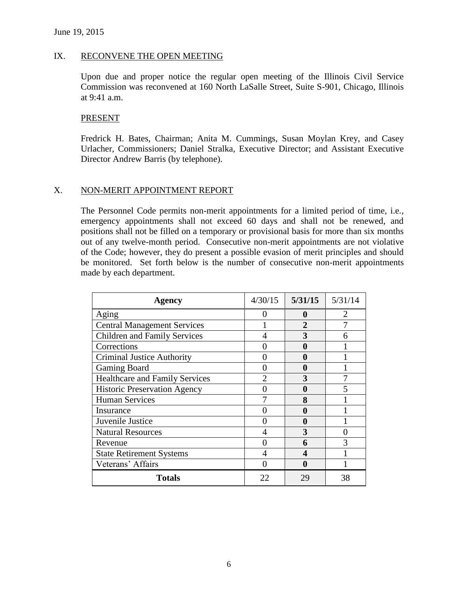#### IX. RECONVENE THE OPEN MEETING

Upon due and proper notice the regular open meeting of the Illinois Civil Service Commission was reconvened at 160 North LaSalle Street, Suite S-901, Chicago, Illinois at 9:41 a.m.

#### PRESENT

Fredrick H. Bates, Chairman; Anita M. Cummings, Susan Moylan Krey, and Casey Urlacher, Commissioners; Daniel Stralka, Executive Director; and Assistant Executive Director Andrew Barris (by telephone).

### X. NON-MERIT APPOINTMENT REPORT

The Personnel Code permits non-merit appointments for a limited period of time, i.e., emergency appointments shall not exceed 60 days and shall not be renewed, and positions shall not be filled on a temporary or provisional basis for more than six months out of any twelve-month period. Consecutive non-merit appointments are not violative of the Code; however, they do present a possible evasion of merit principles and should be monitored. Set forth below is the number of consecutive non-merit appointments made by each department.

| Agency                                | 4/30/15                     | 5/31/15 | 5/31/14               |
|---------------------------------------|-----------------------------|---------|-----------------------|
| Aging                                 | u                           | o       | $\mathcal{D}_{\cdot}$ |
| <b>Central Management Services</b>    |                             | 2       |                       |
| <b>Children and Family Services</b>   | 4                           | 3       | 6                     |
| Corrections                           |                             | a       |                       |
| <b>Criminal Justice Authority</b>     |                             | O       |                       |
| <b>Gaming Board</b>                   |                             | 0       |                       |
| <b>Healthcare and Family Services</b> | $\mathcal{D}_{\mathcal{A}}$ | 3       |                       |
| <b>Historic Preservation Agency</b>   |                             | 0       | 5                     |
| <b>Human Services</b>                 |                             | 8       |                       |
| Insurance                             |                             | O       |                       |
| Juvenile Justice                      |                             | O       |                       |
| <b>Natural Resources</b>              | 4                           | 3       |                       |
| Revenue                               |                             | 6       | 3                     |
| <b>State Retirement Systems</b>       | 4                           | 4       |                       |
| Veterans' Affairs                     |                             | 0       |                       |
| <b>Totals</b>                         | 22                          | 29      | 38                    |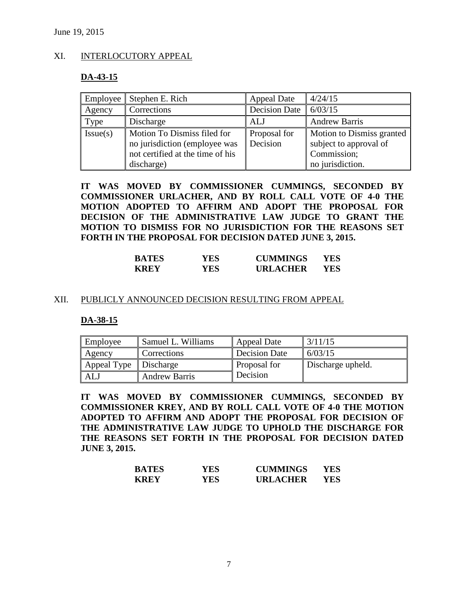#### XI. INTERLOCUTORY APPEAL

#### **DA-43-15**

|          | Employee   Stephen E. Rich       | Appeal Date          | 4/24/15                          |
|----------|----------------------------------|----------------------|----------------------------------|
| Agency   | Corrections                      | <b>Decision Date</b> | 6/03/15                          |
| Type     | Discharge                        | ALJ                  | <b>Andrew Barris</b>             |
| Issue(s) | Motion To Dismiss filed for      | Proposal for         | <b>Motion to Dismiss granted</b> |
|          | no jurisdiction (employee was    | Decision             | subject to approval of           |
|          | not certified at the time of his |                      | Commission;                      |
|          | discharge)                       |                      | no jurisdiction.                 |

**IT WAS MOVED BY COMMISSIONER CUMMINGS, SECONDED BY COMMISSIONER URLACHER, AND BY ROLL CALL VOTE OF 4-0 THE MOTION ADOPTED TO AFFIRM AND ADOPT THE PROPOSAL FOR DECISION OF THE ADMINISTRATIVE LAW JUDGE TO GRANT THE MOTION TO DISMISS FOR NO JURISDICTION FOR THE REASONS SET FORTH IN THE PROPOSAL FOR DECISION DATED JUNE 3, 2015.**

| <b>BATES</b> | YES. | <b>CUMMINGS</b> | YES |
|--------------|------|-----------------|-----|
| <b>KREY</b>  | YES. | <b>URLACHER</b> | YES |

#### XII. PUBLICLY ANNOUNCED DECISION RESULTING FROM APPEAL

#### **DA-38-15**

| Employee    | Samuel L. Williams   | Appeal Date         | 3/11/15           |
|-------------|----------------------|---------------------|-------------------|
| Agency      | Corrections          | Decision Date       | 6/03/15           |
| Appeal Type | Discharge            | <b>Proposal for</b> | Discharge upheld. |
| <b>AL</b>   | <b>Andrew Barris</b> | <b>Decision</b>     |                   |

**IT WAS MOVED BY COMMISSIONER CUMMINGS, SECONDED BY COMMISSIONER KREY, AND BY ROLL CALL VOTE OF 4-0 THE MOTION ADOPTED TO AFFIRM AND ADOPT THE PROPOSAL FOR DECISION OF THE ADMINISTRATIVE LAW JUDGE TO UPHOLD THE DISCHARGE FOR THE REASONS SET FORTH IN THE PROPOSAL FOR DECISION DATED JUNE 3, 2015.**

| <b>BATES</b> | YES | <b>CUMMINGS</b> | YES |
|--------------|-----|-----------------|-----|
| <b>KREY</b>  | YES | <b>URLACHER</b> | YES |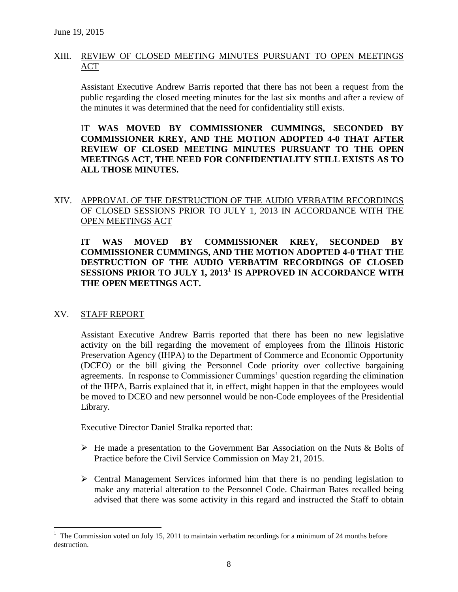# XIII. REVIEW OF CLOSED MEETING MINUTES PURSUANT TO OPEN MEETINGS ACT

Assistant Executive Andrew Barris reported that there has not been a request from the public regarding the closed meeting minutes for the last six months and after a review of the minutes it was determined that the need for confidentiality still exists.

I**T WAS MOVED BY COMMISSIONER CUMMINGS, SECONDED BY COMMISSIONER KREY, AND THE MOTION ADOPTED 4-0 THAT AFTER REVIEW OF CLOSED MEETING MINUTES PURSUANT TO THE OPEN MEETINGS ACT, THE NEED FOR CONFIDENTIALITY STILL EXISTS AS TO ALL THOSE MINUTES.**

# XIV. APPROVAL OF THE DESTRUCTION OF THE AUDIO VERBATIM RECORDINGS OF CLOSED SESSIONS PRIOR TO JULY 1, 2013 IN ACCORDANCE WITH THE OPEN MEETINGS ACT

**IT WAS MOVED BY COMMISSIONER KREY, SECONDED BY COMMISSIONER CUMMINGS, AND THE MOTION ADOPTED 4-0 THAT THE DESTRUCTION OF THE AUDIO VERBATIM RECORDINGS OF CLOSED SESSIONS PRIOR TO JULY 1, 2013<sup>1</sup> IS APPROVED IN ACCORDANCE WITH THE OPEN MEETINGS ACT.**

### XV. STAFF REPORT

 $\overline{a}$ 

Assistant Executive Andrew Barris reported that there has been no new legislative activity on the bill regarding the movement of employees from the Illinois Historic Preservation Agency (IHPA) to the Department of Commerce and Economic Opportunity (DCEO) or the bill giving the Personnel Code priority over collective bargaining agreements. In response to Commissioner Cummings' question regarding the elimination of the IHPA, Barris explained that it, in effect, might happen in that the employees would be moved to DCEO and new personnel would be non-Code employees of the Presidential Library.

Executive Director Daniel Stralka reported that:

- $\triangleright$  He made a presentation to the Government Bar Association on the Nuts & Bolts of Practice before the Civil Service Commission on May 21, 2015.
- $\triangleright$  Central Management Services informed him that there is no pending legislation to make any material alteration to the Personnel Code. Chairman Bates recalled being advised that there was some activity in this regard and instructed the Staff to obtain

 $1$  The Commission voted on July 15, 2011 to maintain verbatim recordings for a minimum of 24 months before destruction.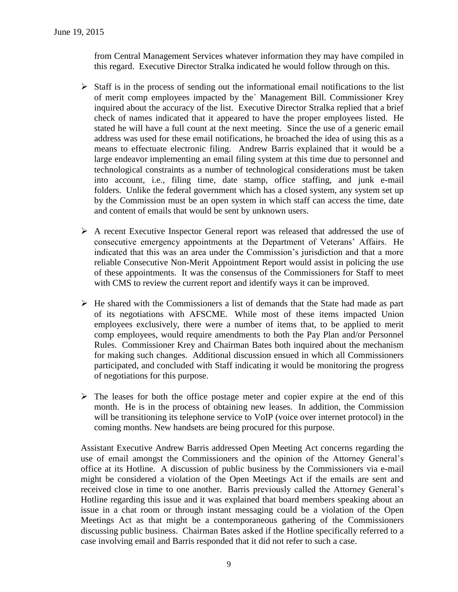from Central Management Services whatever information they may have compiled in this regard. Executive Director Stralka indicated he would follow through on this.

- $\triangleright$  Staff is in the process of sending out the informational email notifications to the list of merit comp employees impacted by the` Management Bill. Commissioner Krey inquired about the accuracy of the list. Executive Director Stralka replied that a brief check of names indicated that it appeared to have the proper employees listed. He stated he will have a full count at the next meeting. Since the use of a generic email address was used for these email notifications, he broached the idea of using this as a means to effectuate electronic filing. Andrew Barris explained that it would be a large endeavor implementing an email filing system at this time due to personnel and technological constraints as a number of technological considerations must be taken into account, i.e., filing time, date stamp, office staffing, and junk e-mail folders. Unlike the federal government which has a closed system, any system set up by the Commission must be an open system in which staff can access the time, date and content of emails that would be sent by unknown users.
- A recent Executive Inspector General report was released that addressed the use of consecutive emergency appointments at the Department of Veterans' Affairs. He indicated that this was an area under the Commission's jurisdiction and that a more reliable Consecutive Non-Merit Appointment Report would assist in policing the use of these appointments. It was the consensus of the Commissioners for Staff to meet with CMS to review the current report and identify ways it can be improved.
- $\triangleright$  He shared with the Commissioners a list of demands that the State had made as part of its negotiations with AFSCME. While most of these items impacted Union employees exclusively, there were a number of items that, to be applied to merit comp employees, would require amendments to both the Pay Plan and/or Personnel Rules. Commissioner Krey and Chairman Bates both inquired about the mechanism for making such changes. Additional discussion ensued in which all Commissioners participated, and concluded with Staff indicating it would be monitoring the progress of negotiations for this purpose.
- $\triangleright$  The leases for both the office postage meter and copier expire at the end of this month. He is in the process of obtaining new leases. In addition, the Commission will be transitioning its telephone service to VoIP (voice over internet protocol) in the coming months. New handsets are being procured for this purpose.

Assistant Executive Andrew Barris addressed Open Meeting Act concerns regarding the use of email amongst the Commissioners and the opinion of the Attorney General's office at its Hotline. A discussion of public business by the Commissioners via e-mail might be considered a violation of the Open Meetings Act if the emails are sent and received close in time to one another. Barris previously called the Attorney General's Hotline regarding this issue and it was explained that board members speaking about an issue in a chat room or through instant messaging could be a violation of the Open Meetings Act as that might be a contemporaneous gathering of the Commissioners discussing public business. Chairman Bates asked if the Hotline specifically referred to a case involving email and Barris responded that it did not refer to such a case.